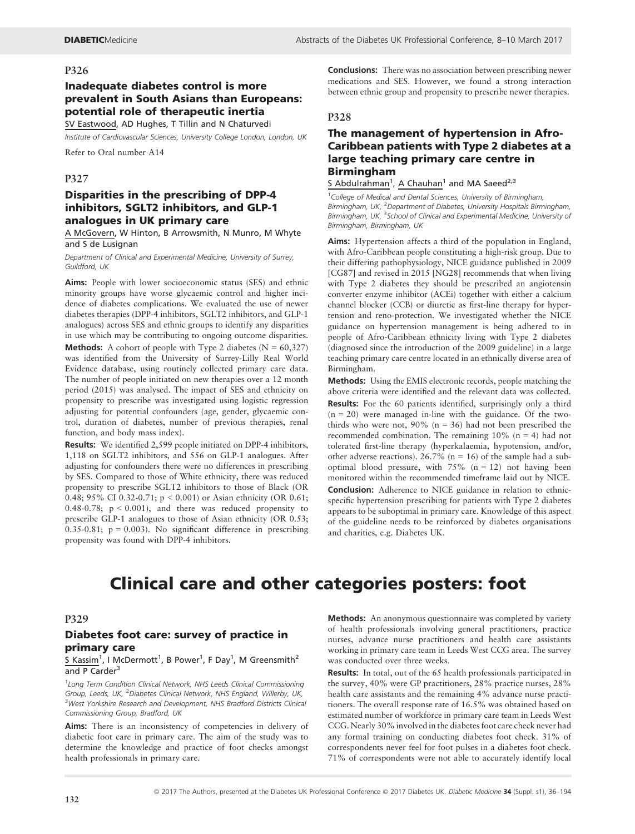## Inadequate diabetes control is more prevalent in South Asians than Europeans: potential role of therapeutic inertia

SV Eastwood, AD Hughes, T Tillin and N Chaturvedi

Institute of Cardiovascular Sciences, University College London, London, UK

Refer to Oral number A14

#### P327

## Disparities in the prescribing of DPP-4 inhibitors, SGLT2 inhibitors, and GLP-1 analogues in UK primary care

A McGovern, W Hinton, B Arrowsmith, N Munro, M Whyte and S de Lusignan

Department of Clinical and Experimental Medicine, University of Surrey, Guildford, UK

Aims: People with lower socioeconomic status (SES) and ethnic minority groups have worse glycaemic control and higher incidence of diabetes complications. We evaluated the use of newer diabetes therapies (DPP-4 inhibitors, SGLT2 inhibitors, and GLP-1 analogues) across SES and ethnic groups to identify any disparities in use which may be contributing to ongoing outcome disparities. **Methods:** A cohort of people with Type 2 diabetes  $(N = 60,327)$ was identified from the University of Surrey-Lilly Real World Evidence database, using routinely collected primary care data. The number of people initiated on new therapies over a 12 month period (2015) was analysed. The impact of SES and ethnicity on propensity to prescribe was investigated using logistic regression adjusting for potential confounders (age, gender, glycaemic control, duration of diabetes, number of previous therapies, renal function, and body mass index).

Results: We identified 2,599 people initiated on DPP-4 inhibitors, 1,118 on SGLT2 inhibitors, and 556 on GLP-1 analogues. After adjusting for confounders there were no differences in prescribing by SES. Compared to those of White ethnicity, there was reduced propensity to prescribe SGLT2 inhibitors to those of Black (OR 0.48; 95% CI 0.32-0.71; p < 0.001) or Asian ethnicity (OR 0.61; 0.48-0.78;  $p < 0.001$ ), and there was reduced propensity to prescribe GLP-1 analogues to those of Asian ethnicity (OR 0.53; 0.35-0.81;  $p = 0.003$ ). No significant difference in prescribing propensity was found with DPP-4 inhibitors.

Conclusions: There was no association between prescribing newer medications and SES. However, we found a strong interaction between ethnic group and propensity to prescribe newer therapies.

## P328

## The management of hypertension in Afro-Caribbean patients with Type 2 diabetes at a large teaching primary care centre in Birmingham

S Abdulrahman<sup>1</sup>, A Chauhan<sup>1</sup> and MA Saeed<sup>2,3</sup>

<sup>1</sup> College of Medical and Dental Sciences, University of Birmingham, Birmingham, UK, <sup>2</sup>Department of Diabetes, University Hospitals Birmingham, Birmingham, UK, <sup>3</sup>School of Clinical and Experimental Medicine, University of Birmingham, Birmingham, UK

Aims: Hypertension affects a third of the population in England, with Afro-Caribbean people constituting a high-risk group. Due to their differing pathophysiology, NICE guidance published in 2009 [CG87] and revised in 2015 [NG28] recommends that when living with Type 2 diabetes they should be prescribed an angiotensin converter enzyme inhibitor (ACEi) together with either a calcium channel blocker (CCB) or diuretic as first-line therapy for hypertension and reno-protection. We investigated whether the NICE guidance on hypertension management is being adhered to in people of Afro-Caribbean ethnicity living with Type 2 diabetes (diagnosed since the introduction of the 2009 guideline) in a large teaching primary care centre located in an ethnically diverse area of Birmingham.

Methods: Using the EMIS electronic records, people matching the above criteria were identified and the relevant data was collected. Results: For the 60 patients identified, surprisingly only a third  $(n = 20)$  were managed in-line with the guidance. Of the twothirds who were not,  $90\%$  (n = 36) had not been prescribed the recommended combination. The remaining  $10\%$  (n = 4) had not tolerated first-line therapy (hyperkalaemia, hypotension, and/or, other adverse reactions). 26.7% ( $n = 16$ ) of the sample had a suboptimal blood pressure, with  $75\%$  (n = 12) not having been monitored within the recommended timeframe laid out by NICE. Conclusion: Adherence to NICE guidance in relation to ethnicspecific hypertension prescribing for patients with Type 2 diabetes appears to be suboptimal in primary care. Knowledge of this aspect of the guideline needs to be reinforced by diabetes organisations and charities, e.g. Diabetes UK.

# Clinical care and other categories posters: foot

#### P329

## Diabetes foot care: survey of practice in primary care

#### S Kassim<sup>1</sup>, I McDermott<sup>1</sup>, B Power<sup>1</sup>, F Day<sup>1</sup>, M Greensmith<sup>2</sup> and  $P$  Carder<sup>3</sup>

<sup>1</sup> Long Term Condition Clinical Network, NHS Leeds Clinical Commissioning Group, Leeds, UK, <sup>2</sup> Diabetes Clinical Network, NHS England, Willerby, UK, <sup>3</sup>West Yorkshire Research and Development, NHS Bradford Districts Clinical Commissioning Group, Bradford, UK

Aims: There is an inconsistency of competencies in delivery of diabetic foot care in primary care. The aim of the study was to determine the knowledge and practice of foot checks amongst health professionals in primary care.

Methods: An anonymous questionnaire was completed by variety of health professionals involving general practitioners, practice nurses, advance nurse practitioners and health care assistants working in primary care team in Leeds West CCG area. The survey was conducted over three weeks.

Results: In total, out of the 65 health professionals participated in the survey, 40% were GP practitioners, 28% practice nurses, 28% health care assistants and the remaining 4% advance nurse practitioners. The overall response rate of 16.5% was obtained based on estimated number of workforce in primary care team in Leeds West CCG. Nearly 30% involved in the diabetes foot care check never had any formal training on conducting diabetes foot check. 31% of correspondents never feel for foot pulses in a diabetes foot check. 71% of correspondents were not able to accurately identify local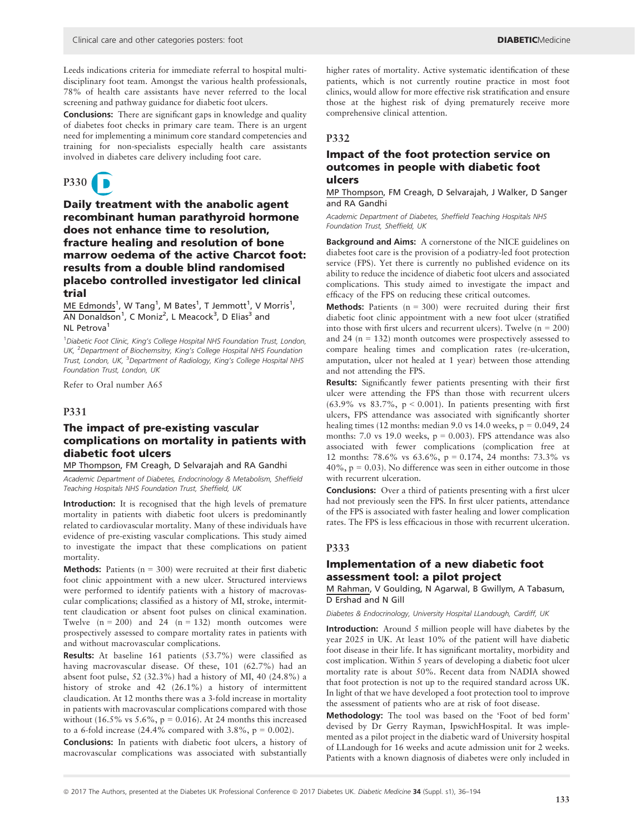Leeds indications criteria for immediate referral to hospital multidisciplinary foot team. Amongst the various health professionals, 78% of health care assistants have never referred to the local screening and pathway guidance for diabetic foot ulcers.

Conclusions: There are significant gaps in knowledge and quality of diabetes foot checks in primary care team. There is an urgent need for implementing a minimum core standard competencies and training for non-specialists especially health care assistants involved in diabetes care delivery including foot care.

# P330

Daily treatment with the anabolic agent recombinant human parathyroid hormone does not enhance time to resolution, fracture healing and resolution of bone marrow oedema of the active Charcot foot: results from a double blind randomised placebo controlled investigator led clinical trial

ME Edmonds<sup>1</sup>, W Tang<sup>1</sup>, M Bates<sup>1</sup>, T Jemmott<sup>1</sup>, V Morris<sup>1</sup>,  $\overline{{\sf AN} \; {\sf Donaldson}}^1$ , C ${\sf Moniz}^2$ , L ${\sf Meacock}^3$ , D ${\sf Elias}^3$  and NI Petrova<sup>1</sup>

<sup>1</sup> Diabetic Foot Clinic, King's College Hospital NHS Foundation Trust, London, UK, <sup>2</sup> Department of Biochemsitry, King's College Hospital NHS Foundation Trust, London, UK, <sup>3</sup>Department of Radiology, King's College Hospital NHS Foundation Trust, London, UK

Refer to Oral number A65

## P331

## The impact of pre-existing vascular complications on mortality in patients with diabetic foot ulcers

MP Thompson, FM Creagh, D Selvarajah and RA Gandhi

Academic Department of Diabetes, Endocrinology & Metabolism, Sheffield Teaching Hospitals NHS Foundation Trust, Sheffield, UK

Introduction: It is recognised that the high levels of premature mortality in patients with diabetic foot ulcers is predominantly related to cardiovascular mortality. Many of these individuals have evidence of pre-existing vascular complications. This study aimed to investigate the impact that these complications on patient mortality.

**Methods:** Patients ( $n = 300$ ) were recruited at their first diabetic foot clinic appointment with a new ulcer. Structured interviews were performed to identify patients with a history of macrovascular complications; classified as a history of MI, stroke, intermittent claudication or absent foot pulses on clinical examination. Twelve  $(n = 200)$  and 24  $(n = 132)$  month outcomes were prospectively assessed to compare mortality rates in patients with and without macrovascular complications.

Results: At baseline 161 patients (53.7%) were classified as having macrovascular disease. Of these, 101 (62.7%) had an absent foot pulse, 52 (32.3%) had a history of MI, 40 (24.8%) a history of stroke and 42 (26.1%) a history of intermittent claudication. At 12 months there was a 3-fold increase in mortality in patients with macrovascular complications compared with those without (16.5% vs 5.6%,  $p = 0.016$ ). At 24 months this increased to a 6-fold increase  $(24.4\%$  compared with 3.8%,  $p = 0.002$ ).

Conclusions: In patients with diabetic foot ulcers, a history of macrovascular complications was associated with substantially

higher rates of mortality. Active systematic identification of these patients, which is not currently routine practice in most foot clinics, would allow for more effective risk stratification and ensure those at the highest risk of dying prematurely receive more comprehensive clinical attention.

#### P332

## Impact of the foot protection service on outcomes in people with diabetic foot ulcers

MP Thompson, FM Creagh, D Selvarajah, J Walker, D Sanger and RA Gandhi

Academic Department of Diabetes, Sheffield Teaching Hospitals NHS Foundation Trust, Sheffield, UK

Background and Aims: A cornerstone of the NICE guidelines on diabetes foot care is the provision of a podiatry-led foot protection service (FPS). Yet there is currently no published evidence on its ability to reduce the incidence of diabetic foot ulcers and associated complications. This study aimed to investigate the impact and efficacy of the FPS on reducing these critical outcomes.

**Methods:** Patients  $(n = 300)$  were recruited during their first diabetic foot clinic appointment with a new foot ulcer (stratified into those with first ulcers and recurrent ulcers). Twelve  $(n = 200)$ and 24 ( $n = 132$ ) month outcomes were prospectively assessed to compare healing times and complication rates (re-ulceration, amputation, ulcer not healed at 1 year) between those attending and not attending the FPS.

Results: Significantly fewer patients presenting with their first ulcer were attending the FPS than those with recurrent ulcers (63.9% vs  $83.7\%$ ,  $p < 0.001$ ). In patients presenting with first ulcers, FPS attendance was associated with significantly shorter healing times (12 months: median 9.0 vs 14.0 weeks,  $p = 0.049, 24$ months: 7.0 vs 19.0 weeks,  $p = 0.003$ ). FPS attendance was also associated with fewer complications (complication free at 12 months: 78.6% vs 63.6%, p = 0.174, 24 months: 73.3% vs  $40\%$ ,  $p = 0.03$ ). No difference was seen in either outcome in those with recurrent ulceration.

Conclusions: Over a third of patients presenting with a first ulcer had not previously seen the FPS. In first ulcer patients, attendance of the FPS is associated with faster healing and lower complication rates. The FPS is less efficacious in those with recurrent ulceration.

#### P333

## Implementation of a new diabetic foot assessment tool: a pilot project

M Rahman, V Goulding, N Agarwal, B Gwillym, A Tabasum, D Ershad and N Gill

Diabetes & Endocrinology, University Hospital LLandough, Cardiff, UK

Introduction: Around 5 million people will have diabetes by the year 2025 in UK. At least 10% of the patient will have diabetic foot disease in their life. It has significant mortality, morbidity and cost implication. Within 5 years of developing a diabetic foot ulcer mortality rate is about 50%. Recent data from NADIA showed that foot protection is not up to the required standard across UK. In light of that we have developed a foot protection tool to improve the assessment of patients who are at risk of foot disease.

Methodology: The tool was based on the 'Foot of bed form' devised by Dr Gerry Rayman, IpswichHospital. It was implemented as a pilot project in the diabetic ward of University hospital of LLandough for 16 weeks and acute admission unit for 2 weeks. Patients with a known diagnosis of diabetes were only included in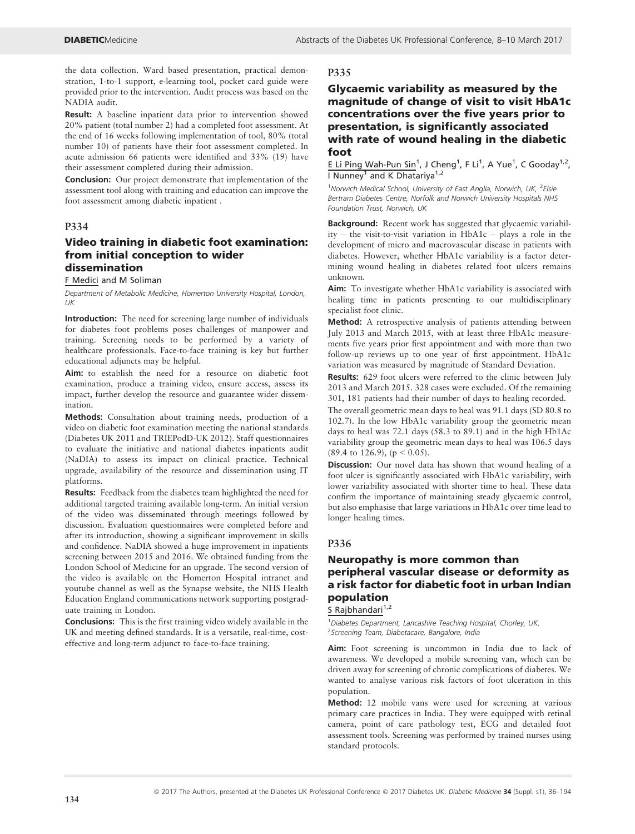the data collection. Ward based presentation, practical demonstration, 1-to-1 support, e-learning tool, pocket card guide were provided prior to the intervention. Audit process was based on the NADIA audit.

Result: A baseline inpatient data prior to intervention showed 20% patient (total number 2) had a completed foot assessment. At the end of 16 weeks following implementation of tool, 80% (total number 10) of patients have their foot assessment completed. In acute admission 66 patients were identified and 33% (19) have their assessment completed during their admission.

Conclusion: Our project demonstrate that implementation of the assessment tool along with training and education can improve the foot assessment among diabetic inpatient .

#### P334

## Video training in diabetic foot examination: from initial conception to wider dissemination

F Medici and M Soliman

Department of Metabolic Medicine, Homerton University Hospital, London,  $IJK$ 

Introduction: The need for screening large number of individuals for diabetes foot problems poses challenges of manpower and training. Screening needs to be performed by a variety of healthcare professionals. Face-to-face training is key but further educational adjuncts may be helpful.

Aim: to establish the need for a resource on diabetic foot examination, produce a training video, ensure access, assess its impact, further develop the resource and guarantee wider dissemination.

Methods: Consultation about training needs, production of a video on diabetic foot examination meeting the national standards (Diabetes UK 2011 and TRIEPodD-UK 2012). Staff questionnaires to evaluate the initiative and national diabetes inpatients audit (NaDIA) to assess its impact on clinical practice. Technical upgrade, availability of the resource and dissemination using IT platforms.

Results: Feedback from the diabetes team highlighted the need for additional targeted training available long-term. An initial version of the video was disseminated through meetings followed by discussion. Evaluation questionnaires were completed before and after its introduction, showing a significant improvement in skills and confidence. NaDIA showed a huge improvement in inpatients screening between 2015 and 2016. We obtained funding from the London School of Medicine for an upgrade. The second version of the video is available on the Homerton Hospital intranet and youtube channel as well as the Synapse website, the NHS Health Education England communications network supporting postgraduate training in London.

Conclusions: This is the first training video widely available in the UK and meeting defined standards. It is a versatile, real-time, costeffective and long-term adjunct to face-to-face training.

## P335

## Glycaemic variability as measured by the magnitude of change of visit to visit HbA1c concentrations over the five years prior to presentation, is significantly associated with rate of wound healing in the diabetic foot

E Li Ping Wah-Pun Sin<sup>1</sup>, J Cheng<sup>1</sup>, F Li<sup>1</sup>, A Yue<sup>1</sup>, C Gooday<sup>1,2</sup>, I Nunney<sup>1</sup> and K Dhatariya<sup>1,2</sup>

<sup>1</sup>Norwich Medical School, University of East Anglia, Norwich, UK, <sup>2</sup>Elsie Bertram Diabetes Centre, Norfolk and Norwich University Hospitals NHS Foundation Trust, Norwich, UK

Background: Recent work has suggested that glycaemic variability – the visit-to-visit variation in HbA1c – plays a role in the development of micro and macrovascular disease in patients with diabetes. However, whether HbA1c variability is a factor determining wound healing in diabetes related foot ulcers remains unknown.

Aim: To investigate whether HbA1c variability is associated with healing time in patients presenting to our multidisciplinary specialist foot clinic.

Method: A retrospective analysis of patients attending between July 2013 and March 2015, with at least three HbA1c measurements five years prior first appointment and with more than two follow-up reviews up to one year of first appointment. HbA1c variation was measured by magnitude of Standard Deviation.

Results: 629 foot ulcers were referred to the clinic between July 2013 and March 2015. 328 cases were excluded. Of the remaining 301, 181 patients had their number of days to healing recorded.

The overall geometric mean days to heal was 91.1 days (SD 80.8 to 102.7). In the low HbA1c variability group the geometric mean days to heal was 72.1 days (58.3 to 89.1) and in the high Hb1Ac variability group the geometric mean days to heal was 106.5 days  $(89.4 \text{ to } 126.9), (p < 0.05).$ 

Discussion: Our novel data has shown that wound healing of a foot ulcer is significantly associated with HbA1c variability, with lower variability associated with shorter time to heal. These data confirm the importance of maintaining steady glycaemic control, but also emphasise that large variations in HbA1c over time lead to longer healing times.

## P336

## Neuropathy is more common than peripheral vascular disease or deformity as a risk factor for diabetic foot in urban Indian population

S Rajbhandari $1,2$ 

<sup>1</sup> Diabetes Department, Lancashire Teaching Hospital, Chorley, UK, <sup>2</sup>Screening Team, Diabetacare, Bangalore, India

Aim: Foot screening is uncommon in India due to lack of awareness. We developed a mobile screening van, which can be driven away for screening of chronic complications of diabetes. We wanted to analyse various risk factors of foot ulceration in this population.

Method: 12 mobile vans were used for screening at various primary care practices in India. They were equipped with retinal camera, point of care pathology test, ECG and detailed foot assessment tools. Screening was performed by trained nurses using standard protocols.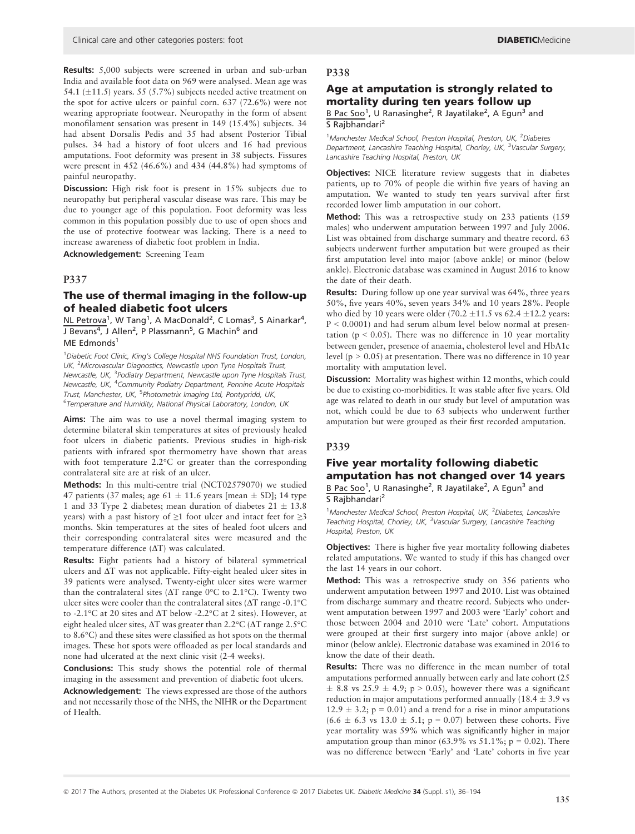Results: 5,000 subjects were screened in urban and sub-urban India and available foot data on 969 were analysed. Mean age was 54.1 ( $\pm$ 11.5) years. 55 (5.7%) subjects needed active treatment on the spot for active ulcers or painful corn. 637 (72.6%) were not wearing appropriate footwear. Neuropathy in the form of absent monofilament sensation was present in 149 (15.4%) subjects. 34 had absent Dorsalis Pedis and 35 had absent Posterior Tibial pulses. 34 had a history of foot ulcers and 16 had previous amputations. Foot deformity was present in 38 subjects. Fissures were present in 452 (46.6%) and 434 (44.8%) had symptoms of painful neuropathy.

Discussion: High risk foot is present in 15% subjects due to neuropathy but peripheral vascular disease was rare. This may be due to younger age of this population. Foot deformity was less common in this population possibly due to use of open shoes and the use of protective footwear was lacking. There is a need to increase awareness of diabetic foot problem in India.

Acknowledgement: Screening Team

## P337

## The use of thermal imaging in the follow-up of healed diabetic foot ulcers

NL Petrova<sup>1</sup>, W Tang<sup>1</sup>, A MacDonald<sup>2</sup>, C Lomas<sup>3</sup>, S Ainarkar<sup>4</sup>, J Bevans<sup>4</sup>, J Allen<sup>2</sup>, P Plassmann<sup>5</sup>, G Machin<sup>6</sup> and ME Edmonds<sup>1</sup>

<sup>1</sup> Diabetic Foot Clinic, King's College Hospital NHS Foundation Trust, London, UK, <sup>2</sup>Microvascular Diagnostics, Newcastle upon Tyne Hospitals Trust, Newcastle, UK, <sup>3</sup>Podiatry Department, Newcastle upon Tyne Hospitals Trust, Newcastle, UK, <sup>4</sup>Community Podiatry Department, Pennine Acute Hospitals Trust, Manchester, UK, <sup>5</sup>Photometrix Imaging Ltd, Pontypridd, UK, <sup>6</sup>Temperature and Humidity, National Physical Laboratory, London, UK

Aims: The aim was to use a novel thermal imaging system to determine bilateral skin temperatures at sites of previously healed foot ulcers in diabetic patients. Previous studies in high-risk patients with infrared spot thermometry have shown that areas with foot temperature 2.2°C or greater than the corresponding contralateral site are at risk of an ulcer.

Methods: In this multi-centre trial (NCT02579070) we studied 47 patients (37 males; age 61  $\pm$  11.6 years [mean  $\pm$  SD]; 14 type 1 and 33 Type 2 diabetes; mean duration of diabetes  $21 \pm 13.8$ years) with a past history of  $\geq 1$  foot ulcer and intact feet for  $\geq 3$ months. Skin temperatures at the sites of healed foot ulcers and their corresponding contralateral sites were measured and the temperature difference  $(\Delta T)$  was calculated.

Results: Eight patients had a history of bilateral symmetrical ulcers and  $\Delta T$  was not applicable. Fifty-eight healed ulcer sites in 39 patients were analysed. Twenty-eight ulcer sites were warmer than the contralateral sites ( $\Delta T$  range 0°C to 2.1°C). Twenty two ulcer sites were cooler than the contralateral sites ( $\Delta T$  range -0.1°C to -2.1°C at 20 sites and  $\Delta T$  below -2.2°C at 2 sites). However, at eight healed ulcer sites,  $\Delta T$  was greater than 2.2°C ( $\Delta T$  range 2.5°C to 8.6°C) and these sites were classified as hot spots on the thermal images. These hot spots were offloaded as per local standards and none had ulcerated at the next clinic visit (2-4 weeks).

Conclusions: This study shows the potential role of thermal imaging in the assessment and prevention of diabetic foot ulcers.

Acknowledgement: The views expressed are those of the authors and not necessarily those of the NHS, the NIHR or the Department of Health.

#### P338

## Age at amputation is strongly related to mortality during ten years follow up

B Pac Soo<sup>1</sup>, U Ranasinghe<sup>2</sup>, R Jayatilake<sup>2</sup>, A Egun<sup>3</sup> and S Rajbhandari<sup>2</sup>

<sup>1</sup>Manchester Medical School, Preston Hospital, Preston, UK, <sup>2</sup>Diabetes Department, Lancashire Teaching Hospital, Chorley, UK, <sup>3</sup>Vascular Surgery, Lancashire Teaching Hospital, Preston, UK

Objectives: NICE literature review suggests that in diabetes patients, up to 70% of people die within five years of having an amputation. We wanted to study ten years survival after first recorded lower limb amputation in our cohort.

Method: This was a retrospective study on 233 patients (159 males) who underwent amputation between 1997 and July 2006. List was obtained from discharge summary and theatre record. 63 subjects underwent further amputation but were grouped as their first amputation level into major (above ankle) or minor (below ankle). Electronic database was examined in August 2016 to know the date of their death.

Results: During follow up one year survival was 64%, three years 50%, five years 40%, seven years 34% and 10 years 28%. People who died by 10 years were older (70.2  $\pm$ 11.5 vs 62.4  $\pm$ 12.2 years: P < 0.0001) and had serum album level below normal at presentation ( $p < 0.05$ ). There was no difference in 10 year mortality between gender, presence of anaemia, cholesterol level and HbA1c level ( $p > 0.05$ ) at presentation. There was no difference in 10 year mortality with amputation level.

Discussion: Mortality was highest within 12 months, which could be due to existing co-morbidities. It was stable after five years. Old age was related to death in our study but level of amputation was not, which could be due to 63 subjects who underwent further amputation but were grouped as their first recorded amputation.

#### P339

## Five year mortality following diabetic amputation has not changed over 14 years B Pac Soo<sup>1</sup>, U Ranasinghe<sup>2</sup>, R Jayatilake<sup>2</sup>, A Egun<sup>3</sup> and

S Rajbhandari<sup>2</sup> <sup>1</sup>Manchester Medical School, Preston Hospital, UK, <sup>2</sup>Diabetes, Lancashire

Teaching Hospital, Chorley, UK, <sup>3</sup>Vascular Surgery, Lancashire Teaching Hospital, Preston, UK

Objectives: There is higher five year mortality following diabetes related amputations. We wanted to study if this has changed over the last 14 years in our cohort.

Method: This was a retrospective study on 356 patients who underwent amputation between 1997 and 2010. List was obtained from discharge summary and theatre record. Subjects who underwent amputation between 1997 and 2003 were 'Early' cohort and those between 2004 and 2010 were 'Late' cohort. Amputations were grouped at their first surgery into major (above ankle) or minor (below ankle). Electronic database was examined in 2016 to know the date of their death.

Results: There was no difference in the mean number of total amputations performed annually between early and late cohort (25  $\pm$  8.8 vs 25.9  $\pm$  4.9; p > 0.05), however there was a significant reduction in major amputations performed annually (18.4  $\pm$  3.9 vs  $12.9 \pm 3.2$ ; p = 0.01) and a trend for a rise in minor amputations  $(6.6 \pm 6.3 \text{ vs } 13.0 \pm 5.1; \text{ p} = 0.07)$  between these cohorts. Five year mortality was 59% which was significantly higher in major amputation group than minor (63.9% vs 51.1%;  $p = 0.02$ ). There was no difference between 'Early' and 'Late' cohorts in five year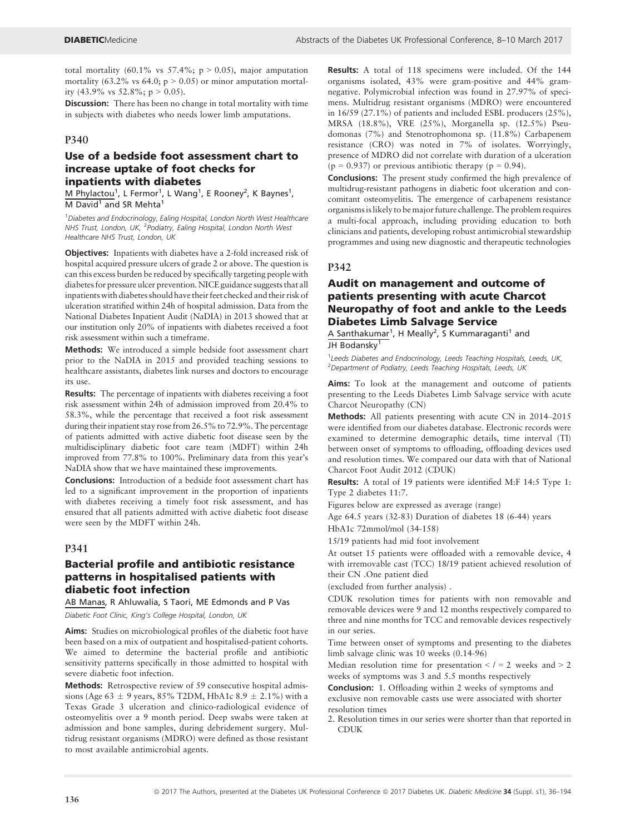total mortality (60.1% vs  $57.4\%$ ; p > 0.05), major amputation mortality (63.2% vs 64.0;  $p > 0.05$ ) or minor amputation mortality (43.9% vs 52.8%;  $p > 0.05$ ).

Discussion: There has been no change in total mortality with time in subjects with diabetes who needs lower limb amputations.

## P340

## Use of a bedside foot assessment chart to increase uptake of foot checks for inpatients with diabetes

M Phylactou<sup>1</sup>, L Fermor<sup>1</sup>, L Wang<sup>1</sup>, E Rooney<sup>2</sup>, K Baynes<sup>1</sup>,  $M$  David<sup>1</sup> and SR Mehta<sup>1</sup>

<sup>1</sup>Diabetes and Endocrinology, Ealing Hospital, London North West Healthcare NHS Trust, London, UK, <sup>2</sup>Podiatry, Ealing Hospital, London North West Healthcare NHS Trust, London, UK

Objectives: Inpatients with diabetes have a 2-fold increased risk of hospital acquired pressure ulcers of grade 2 or above. The question is can this excess burden be reduced by specifically targeting people with diabetes for pressure ulcer prevention. NICE guidance suggests that all inpatients with diabetes should have their feet checked and their risk of ulceration stratified within 24h of hospital admission. Data from the National Diabetes Inpatient Audit (NaDIA) in 2013 showed that at our institution only 20% of inpatients with diabetes received a foot risk assessment within such a timeframe.

Methods: We introduced a simple bedside foot assessment chart prior to the NaDIA in 2015 and provided teaching sessions to healthcare assistants, diabetes link nurses and doctors to encourage its use.

Results: The percentage of inpatients with diabetes receiving a foot risk assessment within 24h of admission improved from 20.4% to 58.3%, while the percentage that received a foot risk assessment during their inpatient stay rose from 26.5% to 72.9%. The percentage of patients admitted with active diabetic foot disease seen by the multidisciplinary diabetic foot care team (MDFT) within 24h improved from 77.8% to 100%. Preliminary data from this year's NaDIA show that we have maintained these improvements.

Conclusions: Introduction of a bedside foot assessment chart has led to a significant improvement in the proportion of inpatients with diabetes receiving a timely foot risk assessment, and has ensured that all patients admitted with active diabetic foot disease were seen by the MDFT within 24h.

#### P341

## Bacterial profile and antibiotic resistance patterns in hospitalised patients with diabetic foot infection

AB Manas, R Ahluwalia, S Taori, ME Edmonds and P Vas

Diabetic Foot Clinic, King's College Hospital, London, UK

Aims: Studies on microbiological profiles of the diabetic foot have been based on a mix of outpatient and hospitalised-patient cohorts. We aimed to determine the bacterial profile and antibiotic sensitivity patterns specifically in those admitted to hospital with severe diabetic foot infection.

Methods: Retrospective review of 59 consecutive hospital admissions (Age 63  $\pm$  9 years, 85% T2DM, HbA1c 8.9  $\pm$  2.1%) with a Texas Grade 3 ulceration and clinico-radiological evidence of osteomyelitis over a 9 month period. Deep swabs were taken at admission and bone samples, during debridement surgery. Multidrug resistant organisms (MDRO) were defined as those resistant to most available antimicrobial agents.

Results: A total of 118 specimens were included. Of the 144 organisms isolated, 43% were gram-positive and 44% gramnegative. Polymicrobial infection was found in 27.97% of specimens. Multidrug resistant organisms (MDRO) were encountered in 16/59 (27.1%) of patients and included ESBL producers (25%), MRSA (18.8%), VRE (25%), Morganella sp. (12.5%) Pseudomonas (7%) and Stenotrophomona sp. (11.8%) Carbapenem resistance (CRO) was noted in 7% of isolates. Worryingly, presence of MDRO did not correlate with duration of a ulceration  $(p = 0.937)$  or previous antibiotic therapy  $(p = 0.94)$ .

Conclusions: The present study confirmed the high prevalence of multidrug-resistant pathogens in diabetic foot ulceration and concomitant osteomyelitis. The emergence of carbapenem resistance organismsis likely to be major future challenge. The problem requires a multi-focal approach, including providing education to both clinicians and patients, developing robust antimicrobial stewardship programmes and using new diagnostic and therapeutic technologies

## P342

## Audit on management and outcome of patients presenting with acute Charcot Neuropathy of foot and ankle to the Leeds Diabetes Limb Salvage Service

A Santhakumar<sup>1</sup>, H Meally<sup>2</sup>, S Kummaraganti<sup>1</sup> and JH Bodansky

<sup>1</sup> Leeds Diabetes and Endocrinology, Leeds Teaching Hospitals, Leeds, UK, <sup>2</sup> Department of Podiatry, Leeds Teaching Hospitals, Leeds, UK

Aims: To look at the management and outcome of patients presenting to the Leeds Diabetes Limb Salvage service with acute Charcot Neuropathy (CN)

Methods: All patients presenting with acute CN in 2014–2015 were identified from our diabetes database. Electronic records were examined to determine demographic details, time interval (TI) between onset of symptoms to offloading, offloading devices used and resolution times. We compared our data with that of National Charcot Foot Audit 2012 (CDUK)

Results: A total of 19 patients were identified M:F 14:5 Type 1: Type 2 diabetes 11:7.

Figures below are expressed as average (range)

Age 64.5 years (32-83) Duration of diabetes 18 (6-44) years HbA1c 72mmol/mol (34-158)

15/19 patients had mid foot involvement

At outset 15 patients were offloaded with a removable device, 4 with irremovable cast (TCC) 18/19 patient achieved resolution of their CN .One patient died

(excluded from further analysis) .

CDUK resolution times for patients with non removable and removable devices were 9 and 12 months respectively compared to three and nine months for TCC and removable devices respectively in our series.

Time between onset of symptoms and presenting to the diabetes limb salvage clinic was 10 weeks (0.14-96)

Median resolution time for presentation  $\lt$  / = 2 weeks and  $>$  2 weeks of symptoms was 3 and 5.5 months respectively

Conclusion: 1. Offloading within 2 weeks of symptoms and exclusive non removable casts use were associated with shorter resolution times

2. Resolution times in our series were shorter than that reported in CDUK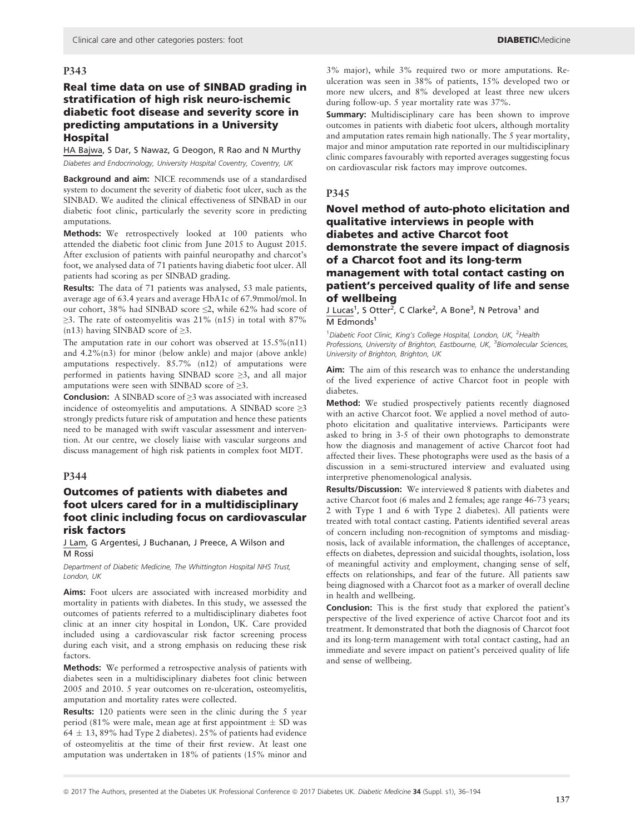## Real time data on use of SINBAD grading in stratification of high risk neuro-ischemic diabetic foot disease and severity score in predicting amputations in a University Hospital

#### HA Bajwa, S Dar, S Nawaz, G Deogon, R Rao and N Murthy Diabetes and Endocrinology, University Hospital Coventry, Coventry, UK

Background and aim: NICE recommends use of a standardised system to document the severity of diabetic foot ulcer, such as the SINBAD. We audited the clinical effectiveness of SINBAD in our diabetic foot clinic, particularly the severity score in predicting amputations.

Methods: We retrospectively looked at 100 patients who attended the diabetic foot clinic from June 2015 to August 2015. After exclusion of patients with painful neuropathy and charcot's foot, we analysed data of 71 patients having diabetic foot ulcer. All patients had scoring as per SINBAD grading.

Results: The data of 71 patients was analysed, 53 male patients, average age of 63.4 years and average HbA1c of 67.9mmol/mol. In our cohort, 38% had SINBAD score ≤2, while 62% had score of  $\geq$ 3. The rate of osteomyelitis was 21% (n15) in total with 87% (n13) having SINBAD score of  $\geq 3$ .

The amputation rate in our cohort was observed at  $15.5\%(n11)$ and 4.2%(n3) for minor (below ankle) and major (above ankle) amputations respectively. 85.7% (n12) of amputations were performed in patients having SINBAD score ≥3, and all major amputations were seen with SINBAD score of ≥3.

Conclusion: A SINBAD score of ≥3 was associated with increased incidence of osteomyelitis and amputations. A SINBAD score  $\geq 3$ strongly predicts future risk of amputation and hence these patients need to be managed with swift vascular assessment and intervention. At our centre, we closely liaise with vascular surgeons and discuss management of high risk patients in complex foot MDT.

#### P344

## Outcomes of patients with diabetes and foot ulcers cared for in a multidisciplinary foot clinic including focus on cardiovascular risk factors

J Lam, G Argentesi, J Buchanan, J Preece, A Wilson and M Rossi

Department of Diabetic Medicine, The Whittington Hospital NHS Trust, London, UK

Aims: Foot ulcers are associated with increased morbidity and mortality in patients with diabetes. In this study, we assessed the outcomes of patients referred to a multidisciplinary diabetes foot clinic at an inner city hospital in London, UK. Care provided included using a cardiovascular risk factor screening process during each visit, and a strong emphasis on reducing these risk factors.

Methods: We performed a retrospective analysis of patients with diabetes seen in a multidisciplinary diabetes foot clinic between 2005 and 2010. 5 year outcomes on re-ulceration, osteomyelitis, amputation and mortality rates were collected.

Results: 120 patients were seen in the clinic during the 5 year period (81% were male, mean age at first appointment  $\pm$  SD was  $64 \pm 13$ , 89% had Type 2 diabetes). 25% of patients had evidence of osteomyelitis at the time of their first review. At least one amputation was undertaken in 18% of patients (15% minor and 3% major), while 3% required two or more amputations. Reulceration was seen in 38% of patients, 15% developed two or more new ulcers, and 8% developed at least three new ulcers during follow-up. 5 year mortality rate was 37%.

Summary: Multidisciplinary care has been shown to improve outcomes in patients with diabetic foot ulcers, although mortality and amputation rates remain high nationally. The 5 year mortality, major and minor amputation rate reported in our multidisciplinary clinic compares favourably with reported averages suggesting focus on cardiovascular risk factors may improve outcomes.

#### P345

## Novel method of auto-photo elicitation and qualitative interviews in people with diabetes and active Charcot foot demonstrate the severe impact of diagnosis of a Charcot foot and its long-term management with total contact casting on patient's perceived quality of life and sense of wellbeing

J Lucas<sup>1</sup>, S Otter<sup>2</sup>, C Clarke<sup>2</sup>, A Bone<sup>3</sup>, N Petrova<sup>1</sup> and  $M$  Edmonds<sup>1</sup>

<sup>1</sup> Diabetic Foot Clinic, King's College Hospital, London, UK, <sup>2</sup> Health Professions, University of Brighton, Eastbourne, UK, <sup>3</sup> Biomolecular Sciences, University of Brighton, Brighton, UK

Aim: The aim of this research was to enhance the understanding of the lived experience of active Charcot foot in people with diabetes.

Method: We studied prospectively patients recently diagnosed with an active Charcot foot. We applied a novel method of autophoto elicitation and qualitative interviews. Participants were asked to bring in 3-5 of their own photographs to demonstrate how the diagnosis and management of active Charcot foot had affected their lives. These photographs were used as the basis of a discussion in a semi-structured interview and evaluated using interpretive phenomenological analysis.

Results/Discussion: We interviewed 8 patients with diabetes and active Charcot foot (6 males and 2 females; age range 46-73 years; 2 with Type 1 and 6 with Type 2 diabetes). All patients were treated with total contact casting. Patients identified several areas of concern including non-recognition of symptoms and misdiagnosis, lack of available information, the challenges of acceptance, effects on diabetes, depression and suicidal thoughts, isolation, loss of meaningful activity and employment, changing sense of self, effects on relationships, and fear of the future. All patients saw being diagnosed with a Charcot foot as a marker of overall decline in health and wellbeing.

Conclusion: This is the first study that explored the patient's perspective of the lived experience of active Charcot foot and its treatment. It demonstrated that both the diagnosis of Charcot foot and its long-term management with total contact casting, had an immediate and severe impact on patient's perceived quality of life and sense of wellbeing.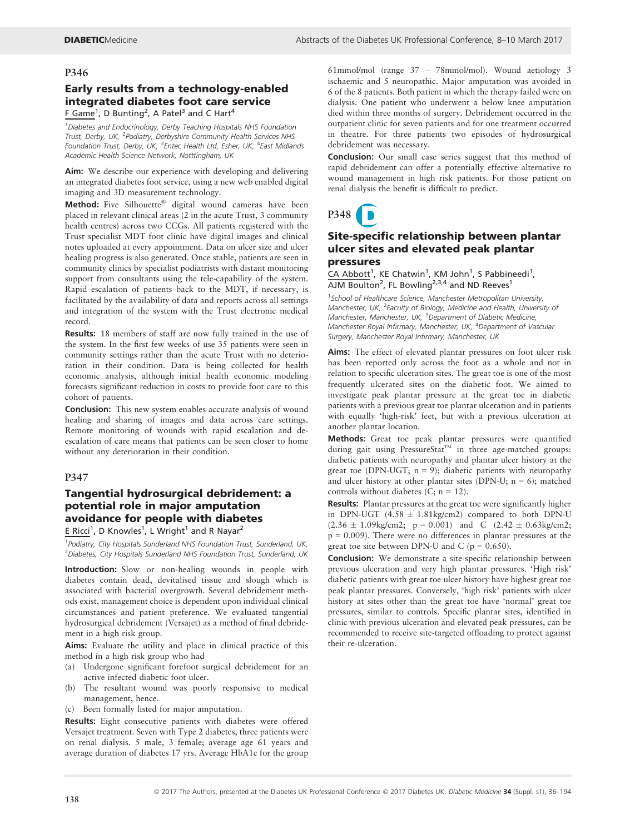## Early results from a technology-enabled integrated diabetes foot care service F Game<sup>1</sup>, D Bunting<sup>2</sup>, A Patel<sup>3</sup> and C Hart<sup>4</sup>

<sup>1</sup>Diabetes and Endocrinology, Derby Teaching Hospitals NHS Foundation Trust, Derby, UK, <sup>2</sup>Podiatry, Derbyshire Community Health Services NHS Foundation Trust, Derby, UK, <sup>3</sup>Entec Health Ltd, Esher, UK, <sup>4</sup>East Midlands Academic Health Science Network, Notttingham, UK

Aim: We describe our experience with developing and delivering an integrated diabetes foot service, using a new web enabled digital imaging and 3D measurement technology.

Method: Five Silhouette® digital wound cameras have been placed in relevant clinical areas (2 in the acute Trust, 3 community health centres) across two CCGs. All patients registered with the Trust specialist MDT foot clinic have digital images and clinical notes uploaded at every appointment. Data on ulcer size and ulcer healing progress is also generated. Once stable, patients are seen in community clinics by specialist podiatrists with distant monitoring support from consultants using the tele-capability of the system. Rapid escalation of patients back to the MDT, if necessary, is facilitated by the availability of data and reports across all settings and integration of the system with the Trust electronic medical record.

Results: 18 members of staff are now fully trained in the use of the system. In the first few weeks of use 35 patients were seen in community settings rather than the acute Trust with no deterioration in their condition. Data is being collected for health economic analysis, although initial health economic modeling forecasts significant reduction in costs to provide foot care to this cohort of patients.

Conclusion: This new system enables accurate analysis of wound healing and sharing of images and data across care settings. Remote monitoring of wounds with rapid escalation and deescalation of care means that patients can be seen closer to home without any deterioration in their condition.

## P347

## Tangential hydrosurgical debridement: a potential role in major amputation avoidance for people with diabetes

E Ricci<sup>1</sup>, D Knowles<sup>1</sup>, L Wright<sup>1</sup> and R Nayar<sup>2</sup>

<sup>1</sup> Podiatry, City Hospitals Sunderland NHS Foundation Trust, Sunderland, UK, <sup>2</sup> Diabetes, City Hospitals Sunderland NHS Foundation Trust, Sunderland, UK

Introduction: Slow or non-healing wounds in people with diabetes contain dead, devitalised tissue and slough which is associated with bacterial overgrowth. Several debridement methods exist, management choice is dependent upon individual clinical circumstances and patient preference. We evaluated tangential hydrosurgical debridement (Versajet) as a method of final debridement in a high risk group.

Aims: Evaluate the utility and place in clinical practice of this method in a high risk group who had

- (a) Undergone significant forefoot surgical debridement for an active infected diabetic foot ulcer.
- (b) The resultant wound was poorly responsive to medical management, hence.
- (c) Been formally listed for major amputation.

Results: Eight consecutive patients with diabetes were offered Versajet treatment. Seven with Type 2 diabetes, three patients were on renal dialysis. 5 male, 3 female; average age 61 years and average duration of diabetes 17 yrs. Average HbA1c for the group

61mmol/mol (range 37 – 78mmol/mol). Wound aetiology 3 ischaemic and 5 neuropathic. Major amputation was avoided in 6 of the 8 patients. Both patient in which the therapy failed were on dialysis. One patient who underwent a below knee amputation died within three months of surgery. Debridement occurred in the outpatient clinic for seven patients and for one treatment occurred in theatre. For three patients two episodes of hydrosurgical debridement was necessary.

Conclusion: Our small case series suggest that this method of rapid debridement can offer a potentially effective alternative to wound management in high risk patients. For those patient on renal dialysis the benefit is difficult to predict.



## Site-specific relationship between plantar ulcer sites and elevated peak plantar pressures

CA Abbott<sup>1</sup>, KE Chatwin<sup>1</sup>, KM John<sup>1</sup>, S Pabbineedi<sup>1</sup>,  $\overline{A}$ JM Boulton<sup>2</sup>, FL Bowling<sup>2,3,4</sup> and ND Reeves<sup>1</sup>

<sup>1</sup>School of Healthcare Science, Manchester Metropolitan University, Manchester, UK, <sup>2</sup>Faculty of Biology, Medicine and Health, University of Manchester, Manchester, UK, <sup>3</sup>Department of Diabetic Medicine, Manchester Royal Infirmary, Manchester, UK, <sup>4</sup>Department of Vascular Surgery, Manchester Royal Infirmary, Manchester, UK

Aims: The effect of elevated plantar pressures on foot ulcer risk has been reported only across the foot as a whole and not in relation to specific ulceration sites. The great toe is one of the most frequently ulcerated sites on the diabetic foot. We aimed to investigate peak plantar pressure at the great toe in diabetic patients with a previous great toe plantar ulceration and in patients with equally 'high-risk' feet, but with a previous ulceration at another plantar location.

Methods: Great toe peak plantar pressures were quantified during gait using PressureStat<sup>™</sup> in three age-matched groups: diabetic patients with neuropathy and plantar ulcer history at the great toe (DPN-UGT;  $n = 9$ ); diabetic patients with neuropathy and ulcer history at other plantar sites (DPN-U;  $n = 6$ ); matched controls without diabetes (C;  $n = 12$ ).

Results: Plantar pressures at the great toe were significantly higher in DPN-UGT  $(4.58 \pm 1.81 \text{kg/cm2})$  compared to both DPN-U  $(2.36 \pm 1.09 \text{kg/cm2}; \text{ p} = 0.001)$  and C  $(2.42 \pm 0.63 \text{kg/cm2};$  $p = 0.009$ ). There were no differences in plantar pressures at the great toe site between DPN-U and C ( $p = 0.650$ ).

Conclusion: We demonstrate a site-specific relationship between previous ulceration and very high plantar pressures. 'High risk' diabetic patients with great toe ulcer history have highest great toe peak plantar pressures. Conversely, 'high risk' patients with ulcer history at sites other than the great toe have 'normal' great toe pressures, similar to controls. Specific plantar sites, identified in clinic with previous ulceration and elevated peak pressures, can be recommended to receive site-targeted offloading to protect against their re-ulceration.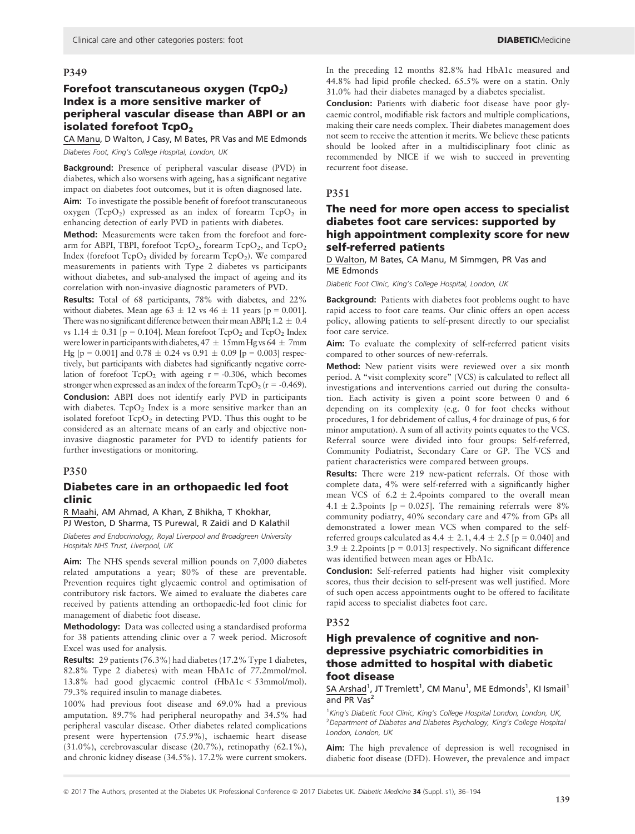## Forefoot transcutaneous oxygen ( $TopO<sub>2</sub>$ ) Index is a more sensitive marker of peripheral vascular disease than ABPI or an isolated forefoot TcpO<sub>2</sub>

CA Manu, D Walton, J Casy, M Bates, PR Vas and ME Edmonds Diabetes Foot, King's College Hospital, London, UK

Background: Presence of peripheral vascular disease (PVD) in diabetes, which also worsens with ageing, has a significant negative impact on diabetes foot outcomes, but it is often diagnosed late. Aim: To investigate the possible benefit of forefoot transcutaneous oxygen ( $TcpO<sub>2</sub>$ ) expressed as an index of forearm  $TcpO<sub>2</sub>$  in enhancing detection of early PVD in patients with diabetes.

Method: Measurements were taken from the forefoot and forearm for ABPI, TBPI, forefoot  $TcpO<sub>2</sub>$ , forearm  $TcpO<sub>2</sub>$ , and  $TcpO<sub>2</sub>$ Index (forefoot  $TcpO<sub>2</sub>$  divided by forearm  $TcpO<sub>2</sub>$ ). We compared measurements in patients with Type 2 diabetes vs participants without diabetes, and sub-analysed the impact of ageing and its correlation with non-invasive diagnostic parameters of PVD.

Results: Total of 68 participants, 78% with diabetes, and 22% without diabetes. Mean age  $63 \pm 12$  vs  $46 \pm 11$  years [p = 0.001]. There was no significant difference between their mean ABPI;  $1.2 \pm 0.4$ vs 1.14  $\pm$  0.31 [p = 0.104]. Mean forefoot TcpO<sub>2</sub> and TcpO<sub>2</sub> Index were lower in participants with diabetes,  $47 \pm 15$ mm Hg vs  $64 \pm 7$ mm Hg [p = 0.001] and  $0.78 \pm 0.24$  vs  $0.91 \pm 0.09$  [p = 0.003] respectively, but participants with diabetes had significantly negative correlation of forefoot  $TcpO<sub>2</sub>$  with ageing  $r = -0.306$ , which becomes stronger when expressed as an index of the forearm  $TcpO<sub>2</sub>$  ( $r = -0.469$ ).

Conclusion: ABPI does not identify early PVD in participants with diabetes.  $TcpO<sub>2</sub>$  Index is a more sensitive marker than an isolated forefoot  $TcpO<sub>2</sub>$  in detecting PVD. Thus this ought to be considered as an alternate means of an early and objective noninvasive diagnostic parameter for PVD to identify patients for further investigations or monitoring.

#### P350

#### Diabetes care in an orthopaedic led foot clinic

R Maahi, AM Ahmad, A Khan, Z Bhikha, T Khokhar, PJ Weston, D Sharma, TS Purewal, R Zaidi and D Kalathil

Diabetes and Endocrinology, Royal Liverpool and Broadgreen University Hospitals NHS Trust, Liverpool, UK

Aim: The NHS spends several million pounds on 7,000 diabetes related amputations a year; 80% of these are preventable. Prevention requires tight glycaemic control and optimisation of contributory risk factors. We aimed to evaluate the diabetes care received by patients attending an orthopaedic-led foot clinic for management of diabetic foot disease.

Methodology: Data was collected using a standardised proforma for 38 patients attending clinic over a 7 week period. Microsoft Excel was used for analysis.

Results: 29 patients (76.3%) had diabetes (17.2% Type 1 diabetes, 82.8% Type 2 diabetes) with mean HbA1c of 77.2mmol/mol. 13.8% had good glycaemic control (HbA1c < 53mmol/mol). 79.3% required insulin to manage diabetes.

100% had previous foot disease and 69.0% had a previous amputation. 89.7% had peripheral neuropathy and 34.5% had peripheral vascular disease. Other diabetes related complications present were hypertension (75.9%), ischaemic heart disease (31.0%), cerebrovascular disease (20.7%), retinopathy (62.1%), and chronic kidney disease (34.5%). 17.2% were current smokers.

In the preceding 12 months 82.8% had HbA1c measured and 44.8% had lipid profile checked. 65.5% were on a statin. Only 31.0% had their diabetes managed by a diabetes specialist.

Conclusion: Patients with diabetic foot disease have poor glycaemic control, modifiable risk factors and multiple complications, making their care needs complex. Their diabetes management does not seem to receive the attention it merits. We believe these patients should be looked after in a multidisciplinary foot clinic as recommended by NICE if we wish to succeed in preventing recurrent foot disease.

## P351

## The need for more open access to specialist diabetes foot care services: supported by high appointment complexity score for new self-referred patients

D Walton, M Bates, CA Manu, M Simmgen, PR Vas and ME Edmonds

Diabetic Foot Clinic, King's College Hospital, London, UK

Background: Patients with diabetes foot problems ought to have rapid access to foot care teams. Our clinic offers an open access policy, allowing patients to self-present directly to our specialist foot care service.

Aim: To evaluate the complexity of self-referred patient visits compared to other sources of new-referrals.

Method: New patient visits were reviewed over a six month period. A "visit complexity score" (VCS) is calculated to reflect all investigations and interventions carried out during the consultation. Each activity is given a point score between 0 and 6 depending on its complexity (e.g. 0 for foot checks without procedures, 1 for debridement of callus, 4 for drainage of pus, 6 for minor amputation). A sum of all activity points equates to the VCS. Referral source were divided into four groups: Self-referred, Community Podiatrist, Secondary Care or GP. The VCS and patient characteristics were compared between groups.

Results: There were 219 new-patient referrals. Of those with complete data, 4% were self-referred with a significantly higher mean VCS of  $6.2 \pm 2.4$ points compared to the overall mean  $4.1 \pm 2.3$  points [p = 0.025]. The remaining referrals were 8% community podiatry, 40% secondary care and 47% from GPs all demonstrated a lower mean VCS when compared to the selfreferred groups calculated as  $4.4 \pm 2.1$ ,  $4.4 \pm 2.5$  [p = 0.040] and  $3.9 \pm 2.2$  points [p = 0.013] respectively. No significant difference was identified between mean ages or HbA1c.

Conclusion: Self-referred patients had higher visit complexity scores, thus their decision to self-present was well justified. More of such open access appointments ought to be offered to facilitate rapid access to specialist diabetes foot care.

#### P352

## High prevalence of cognitive and nondepressive psychiatric comorbidities in those admitted to hospital with diabetic foot disease

SA Arshad<sup>1</sup>, JT Tremlett<sup>1</sup>, CM Manu<sup>1</sup>, ME Edmonds<sup>1</sup>, KI Ismail<sup>1</sup> and PR  $\overline{Vas}^2$ 

<sup>1</sup>King's Diabetic Foot Clinic, King's College Hospital London, London, UK, <sup>2</sup> Department of Diabetes and Diabetes Psychology, King's College Hospital London, London, UK

Aim: The high prevalence of depression is well recognised in diabetic foot disease (DFD). However, the prevalence and impact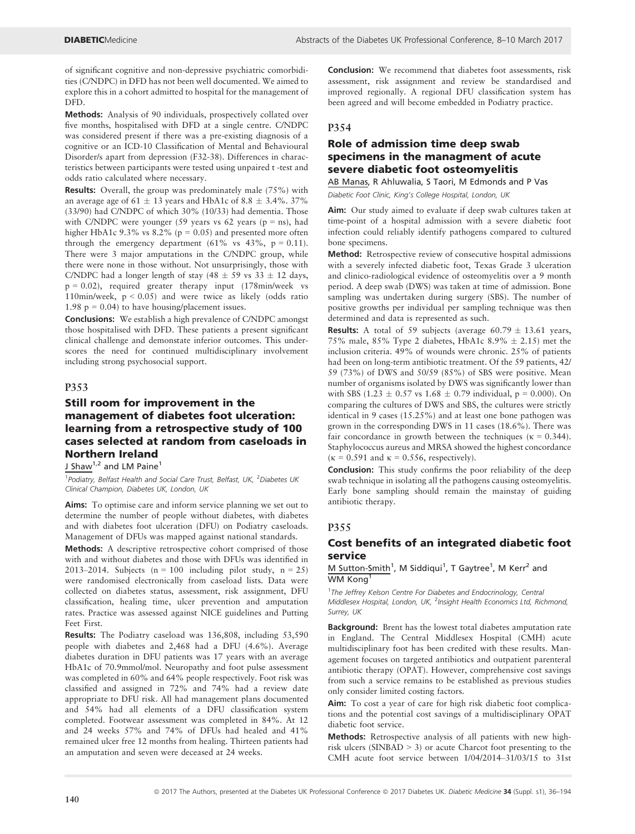of significant cognitive and non-depressive psychiatric comorbidities (C/NDPC) in DFD has not been well documented. We aimed to explore this in a cohort admitted to hospital for the management of DFD.

Methods: Analysis of 90 individuals, prospectively collated over five months, hospitalised with DFD at a single centre. C/NDPC was considered present if there was a pre-existing diagnosis of a cognitive or an ICD-10 Classification of Mental and Behavioural Disorder/s apart from depression (F32-38). Differences in characteristics between participants were tested using unpaired t -test and odds ratio calculated where necessary.

Results: Overall, the group was predominately male (75%) with an average age of 61  $\pm$  13 years and HbA1c of 8.8  $\pm$  3.4%. 37% (33/90) had C/NDPC of which 30% (10/33) had dementia. Those with C/NDPC were younger (59 years vs 62 years ( $p = ns$ ), had higher HbA1c  $9.3\%$  vs  $8.2\%$  (p = 0.05) and presented more often through the emergency department (61% vs  $43\%$ , p = 0.11). There were 3 major amputations in the C/NDPC group, while there were none in those without. Not unsurprisingly, those with C/NDPC had a longer length of stay  $(48 \pm 59 \text{ vs } 33 \pm 12 \text{ days})$ ,  $p = 0.02$ ), required greater therapy input (178min/week vs 110min/week, p < 0.05) and were twice as likely (odds ratio 1.98  $p = 0.04$ ) to have housing/placement issues.

Conclusions: We establish a high prevalence of C/NDPC amongst those hospitalised with DFD. These patients a present significant clinical challenge and demonstate inferior outcomes. This underscores the need for continued multidisciplinary involvement including strong psychosocial support.

#### P353

## Still room for improvement in the management of diabetes foot ulceration: learning from a retrospective study of 100 cases selected at random from caseloads in Northern Ireland

J Shaw<sup>1,2</sup> and LM Paine<sup>1</sup>

<sup>1</sup>Podiatry, Belfast Health and Social Care Trust, Belfast, UK, <sup>2</sup>Diabetes UK Clinical Champion, Diabetes UK, London, UK

Aims: To optimise care and inform service planning we set out to determine the number of people without diabetes, with diabetes and with diabetes foot ulceration (DFU) on Podiatry caseloads. Management of DFUs was mapped against national standards.

Methods: A descriptive retrospective cohort comprised of those with and without diabetes and those with DFUs was identified in 2013–2014. Subjects  $(n = 100$  including pilot study,  $n = 25$ ) were randomised electronically from caseload lists. Data were collected on diabetes status, assessment, risk assignment, DFU classification, healing time, ulcer prevention and amputation rates. Practice was assessed against NICE guidelines and Putting Feet First.

Results: The Podiatry caseload was 136,808, including 53,590 people with diabetes and 2,468 had a DFU (4.6%). Average diabetes duration in DFU patients was 17 years with an average HbA1c of 70.9mmol/mol. Neuropathy and foot pulse assessment was completed in 60% and 64% people respectively. Foot risk was classified and assigned in 72% and 74% had a review date appropriate to DFU risk. All had management plans documented and 54% had all elements of a DFU classification system completed. Footwear assessment was completed in 84%. At 12 and 24 weeks 57% and 74% of DFUs had healed and 41% remained ulcer free 12 months from healing. Thirteen patients had an amputation and seven were deceased at 24 weeks.

Conclusion: We recommend that diabetes foot assessments, risk assessment, risk assignment and review be standardised and improved regionally. A regional DFU classification system has been agreed and will become embedded in Podiatry practice.

#### P354

## Role of admission time deep swab specimens in the managment of acute severe diabetic foot osteomyelitis

AB Manas, R Ahluwalia, S Taori, M Edmonds and P Vas

Diabetic Foot Clinic, King's College Hospital, London, UK

Aim: Our study aimed to evaluate if deep swab cultures taken at time-point of a hospital admission with a severe diabetic foot infection could reliably identify pathogens compared to cultured bone specimens.

Method: Retrospective review of consecutive hospital admissions with a severely infected diabetic foot, Texas Grade 3 ulceration and clinico-radiological evidence of osteomyelitis over a 9 month period. A deep swab (DWS) was taken at time of admission. Bone sampling was undertaken during surgery (SBS). The number of positive growths per individual per sampling technique was then determined and data is represented as such.

**Results:** A total of 59 subjects (average  $60.79 \pm 13.61$  years, 75% male, 85% Type 2 diabetes, HbA1c 8.9%  $\pm$  2.15) met the inclusion criteria. 49% of wounds were chronic. 25% of patients had been on long-term antibiotic treatment. Of the 59 patients, 42/ 59 (73%) of DWS and 50/59 (85%) of SBS were positive. Mean number of organisms isolated by DWS was significantly lower than with SBS (1.23  $\pm$  0.57 vs 1.68  $\pm$  0.79 individual, p = 0.000). On comparing the cultures of DWS and SBS, the cultures were strictly identical in 9 cases (15.25%) and at least one bone pathogen was grown in the corresponding DWS in 11 cases (18.6%). There was fair concordance in growth between the techniques ( $\kappa = 0.344$ ). Staphylococcus aureus and MRSA showed the highest concordance ( $\kappa$  = 0.591 and  $\kappa$  = 0.556, respectively).

Conclusion: This study confirms the poor reliability of the deep swab technique in isolating all the pathogens causing osteomyelitis. Early bone sampling should remain the mainstay of guiding antibiotic therapy.

#### P355

#### Cost benefits of an integrated diabetic foot service

#### M Sutton-Smith<sup>1</sup>, M Siddiqui<sup>1</sup>, T Gaytree<sup>1</sup>, M Kerr<sup>2</sup> and WM Kong

<sup>1</sup>The Jeffrey Kelson Centre For Diabetes and Endocrinology, Central Middlesex Hospital, London, UK, <sup>2</sup>Insight Health Economics Ltd, Richmond, Surrey, UK

Background: Brent has the lowest total diabetes amputation rate in England. The Central Middlesex Hospital (CMH) acute multidisciplinary foot has been credited with these results. Management focuses on targeted antibiotics and outpatient parenteral antibiotic therapy (OPAT). However, comprehensive cost savings from such a service remains to be established as previous studies only consider limited costing factors.

Aim: To cost a year of care for high risk diabetic foot complications and the potential cost savings of a multidisciplinary OPAT diabetic foot service.

Methods: Retrospective analysis of all patients with new highrisk ulcers (SINBAD > 3) or acute Charcot foot presenting to the CMH acute foot service between 1/04/2014–31/03/15 to 31st